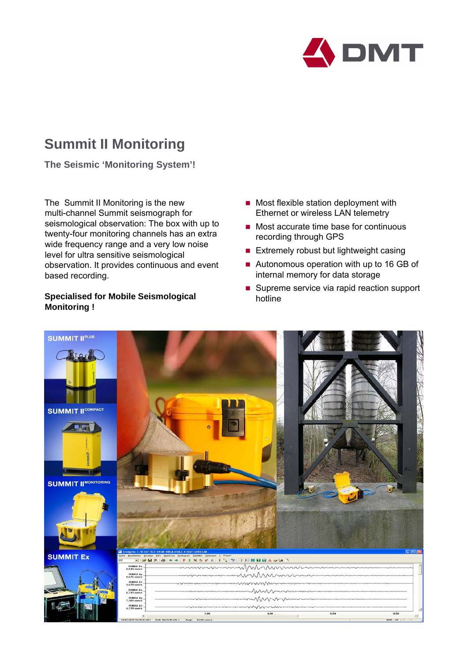

## **Summit II Monitoring**

**The Seismic 'Monitoring System'!**

The Summit II Monitoring is the new multi-channel Summit seismograph for seismological observation: The box with up to twenty-four monitoring channels has an extra wide frequency range and a very low noise level for ultra sensitive seismological observation. It provides continuous and event based recording.

## **Specialised for Mobile Seismological Monitoring !**

- $\blacksquare$  Most flexible station deployment with Ethernet or wireless LAN telemetry
- Most accurate time base for continuous recording through GPS
- **Extremely robust but lightweight casing**
- Autonomous operation with up to 16 GB of internal memory for data storage
- Supreme service via rapid reaction support hotline